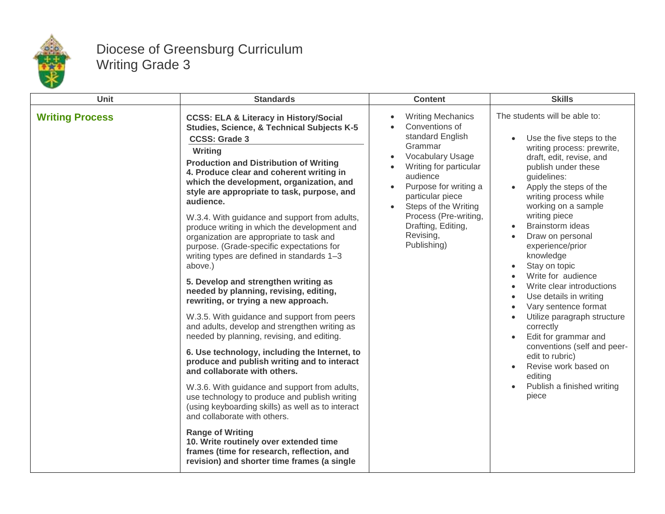

## Diocese of Greensburg Curriculum Writing Grade 3

| Unit                   | <b>Standards</b>                                                                                                                                                                                                                                                                                                                                                                                                                                                                                                                                                                                                                                                                                                                                                                                                                                                                                                                                                                                                                                                                                                                                                                                                                                                                                                                                            | <b>Content</b>                                                                                                                                                                                                                                                                                                                                              | <b>Skills</b>                                                                                                                                                                                                                                                                                                                                                                                                                                                                                                                                                                                                                                                                  |
|------------------------|-------------------------------------------------------------------------------------------------------------------------------------------------------------------------------------------------------------------------------------------------------------------------------------------------------------------------------------------------------------------------------------------------------------------------------------------------------------------------------------------------------------------------------------------------------------------------------------------------------------------------------------------------------------------------------------------------------------------------------------------------------------------------------------------------------------------------------------------------------------------------------------------------------------------------------------------------------------------------------------------------------------------------------------------------------------------------------------------------------------------------------------------------------------------------------------------------------------------------------------------------------------------------------------------------------------------------------------------------------------|-------------------------------------------------------------------------------------------------------------------------------------------------------------------------------------------------------------------------------------------------------------------------------------------------------------------------------------------------------------|--------------------------------------------------------------------------------------------------------------------------------------------------------------------------------------------------------------------------------------------------------------------------------------------------------------------------------------------------------------------------------------------------------------------------------------------------------------------------------------------------------------------------------------------------------------------------------------------------------------------------------------------------------------------------------|
| <b>Writing Process</b> | <b>CCSS: ELA &amp; Literacy in History/Social</b><br>Studies, Science, & Technical Subjects K-5<br><b>CCSS: Grade 3</b><br>Writing<br><b>Production and Distribution of Writing</b><br>4. Produce clear and coherent writing in<br>which the development, organization, and<br>style are appropriate to task, purpose, and<br>audience.<br>W.3.4. With guidance and support from adults,<br>produce writing in which the development and<br>organization are appropriate to task and<br>purpose. (Grade-specific expectations for<br>writing types are defined in standards 1-3<br>above.)<br>5. Develop and strengthen writing as<br>needed by planning, revising, editing,<br>rewriting, or trying a new approach.<br>W.3.5. With guidance and support from peers<br>and adults, develop and strengthen writing as<br>needed by planning, revising, and editing.<br>6. Use technology, including the Internet, to<br>produce and publish writing and to interact<br>and collaborate with others.<br>W.3.6. With guidance and support from adults,<br>use technology to produce and publish writing<br>(using keyboarding skills) as well as to interact<br>and collaborate with others.<br><b>Range of Writing</b><br>10. Write routinely over extended time<br>frames (time for research, reflection, and<br>revision) and shorter time frames (a single | <b>Writing Mechanics</b><br>$\bullet$<br>Conventions of<br>$\bullet$<br>standard English<br>Grammar<br><b>Vocabulary Usage</b><br>$\bullet$<br>Writing for particular<br>audience<br>Purpose for writing a<br>$\bullet$<br>particular piece<br>Steps of the Writing<br>$\bullet$<br>Process (Pre-writing,<br>Drafting, Editing,<br>Revising,<br>Publishing) | The students will be able to:<br>Use the five steps to the<br>writing process: prewrite,<br>draft, edit, revise, and<br>publish under these<br>guidelines:<br>Apply the steps of the<br>writing process while<br>working on a sample<br>writing piece<br>Brainstorm ideas<br>Draw on personal<br>experience/prior<br>knowledge<br>Stay on topic<br>Write for audience<br>Write clear introductions<br>Use details in writing<br>$\bullet$<br>Vary sentence format<br>Utilize paragraph structure<br>$\bullet$<br>correctly<br>Edit for grammar and<br>conventions (self and peer-<br>edit to rubric)<br>Revise work based on<br>editing<br>Publish a finished writing<br>piece |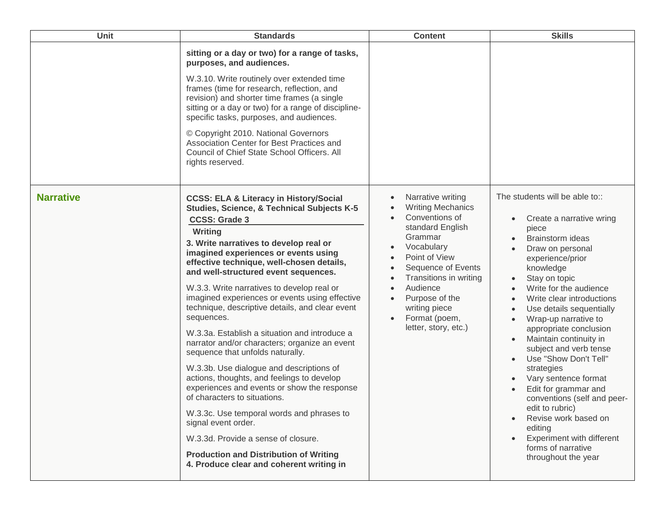| <b>Unit</b>      | <b>Standards</b>                                                                                                                                                                                                                                                                                                                                                                                                                                                                                                                                                                                                                                                                                                                                                                                                                                                                                                                                                                                             | <b>Content</b>                                                                                                                                                                                                                                                                                               | <b>Skills</b>                                                                                                                                                                                                                                                                                                                                                                                                                                                                                                                                                                                                             |
|------------------|--------------------------------------------------------------------------------------------------------------------------------------------------------------------------------------------------------------------------------------------------------------------------------------------------------------------------------------------------------------------------------------------------------------------------------------------------------------------------------------------------------------------------------------------------------------------------------------------------------------------------------------------------------------------------------------------------------------------------------------------------------------------------------------------------------------------------------------------------------------------------------------------------------------------------------------------------------------------------------------------------------------|--------------------------------------------------------------------------------------------------------------------------------------------------------------------------------------------------------------------------------------------------------------------------------------------------------------|---------------------------------------------------------------------------------------------------------------------------------------------------------------------------------------------------------------------------------------------------------------------------------------------------------------------------------------------------------------------------------------------------------------------------------------------------------------------------------------------------------------------------------------------------------------------------------------------------------------------------|
|                  | sitting or a day or two) for a range of tasks,<br>purposes, and audiences.<br>W.3.10. Write routinely over extended time<br>frames (time for research, reflection, and<br>revision) and shorter time frames (a single<br>sitting or a day or two) for a range of discipline-<br>specific tasks, purposes, and audiences.<br>© Copyright 2010. National Governors<br>Association Center for Best Practices and<br>Council of Chief State School Officers. All<br>rights reserved.                                                                                                                                                                                                                                                                                                                                                                                                                                                                                                                             |                                                                                                                                                                                                                                                                                                              |                                                                                                                                                                                                                                                                                                                                                                                                                                                                                                                                                                                                                           |
| <b>Narrative</b> | <b>CCSS: ELA &amp; Literacy in History/Social</b><br><b>Studies, Science, &amp; Technical Subjects K-5</b><br><b>CCSS: Grade 3</b><br>Writing<br>3. Write narratives to develop real or<br>imagined experiences or events using<br>effective technique, well-chosen details,<br>and well-structured event sequences.<br>W.3.3. Write narratives to develop real or<br>imagined experiences or events using effective<br>technique, descriptive details, and clear event<br>sequences.<br>W.3.3a. Establish a situation and introduce a<br>narrator and/or characters; organize an event<br>sequence that unfolds naturally.<br>W.3.3b. Use dialogue and descriptions of<br>actions, thoughts, and feelings to develop<br>experiences and events or show the response<br>of characters to situations.<br>W.3.3c. Use temporal words and phrases to<br>signal event order.<br>W.3.3d. Provide a sense of closure.<br><b>Production and Distribution of Writing</b><br>4. Produce clear and coherent writing in | Narrative writing<br><b>Writing Mechanics</b><br>Conventions of<br>$\bullet$<br>standard English<br>Grammar<br>Vocabulary<br>Point of View<br>Sequence of Events<br>Transitions in writing<br>Audience<br>Purpose of the<br>$\bullet$<br>writing piece<br>Format (poem,<br>$\bullet$<br>letter, story, etc.) | The students will be able to::<br>Create a narrative wring<br>piece<br>Brainstorm ideas<br>Draw on personal<br>experience/prior<br>knowledge<br>Stay on topic<br>Write for the audience<br>Write clear introductions<br>Use details sequentially<br>Wrap-up narrative to<br>appropriate conclusion<br>Maintain continuity in<br>subject and verb tense<br>Use "Show Don't Tell"<br>strategies<br>Vary sentence format<br>Edit for grammar and<br>conventions (self and peer-<br>edit to rubric)<br>Revise work based on<br>$\bullet$<br>editing<br>Experiment with different<br>forms of narrative<br>throughout the year |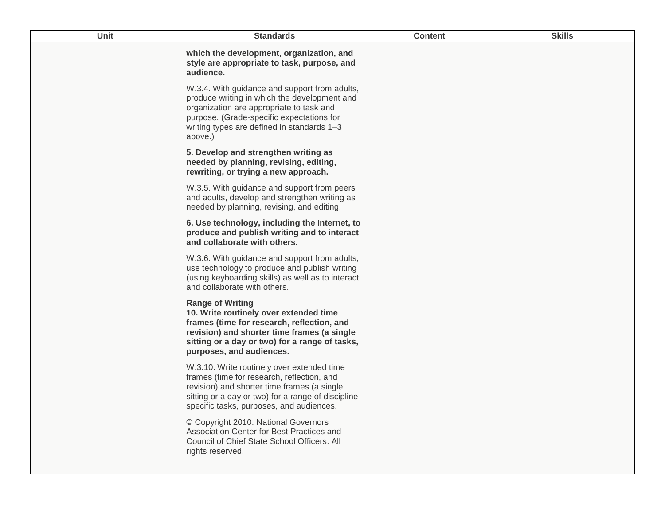| <b>Unit</b> | <b>Standards</b>                                                                                                                                                                                                                                | <b>Content</b> | <b>Skills</b> |
|-------------|-------------------------------------------------------------------------------------------------------------------------------------------------------------------------------------------------------------------------------------------------|----------------|---------------|
|             | which the development, organization, and<br>style are appropriate to task, purpose, and<br>audience.                                                                                                                                            |                |               |
|             | W.3.4. With guidance and support from adults,<br>produce writing in which the development and<br>organization are appropriate to task and<br>purpose. (Grade-specific expectations for<br>writing types are defined in standards 1-3<br>above.) |                |               |
|             | 5. Develop and strengthen writing as<br>needed by planning, revising, editing,<br>rewriting, or trying a new approach.                                                                                                                          |                |               |
|             | W.3.5. With guidance and support from peers<br>and adults, develop and strengthen writing as<br>needed by planning, revising, and editing.                                                                                                      |                |               |
|             | 6. Use technology, including the Internet, to<br>produce and publish writing and to interact<br>and collaborate with others.                                                                                                                    |                |               |
|             | W.3.6. With guidance and support from adults,<br>use technology to produce and publish writing<br>(using keyboarding skills) as well as to interact<br>and collaborate with others.                                                             |                |               |
|             | <b>Range of Writing</b><br>10. Write routinely over extended time<br>frames (time for research, reflection, and<br>revision) and shorter time frames (a single<br>sitting or a day or two) for a range of tasks,<br>purposes, and audiences.    |                |               |
|             | W.3.10. Write routinely over extended time<br>frames (time for research, reflection, and<br>revision) and shorter time frames (a single<br>sitting or a day or two) for a range of discipline-<br>specific tasks, purposes, and audiences.      |                |               |
|             | © Copyright 2010. National Governors<br>Association Center for Best Practices and<br>Council of Chief State School Officers. All<br>rights reserved.                                                                                            |                |               |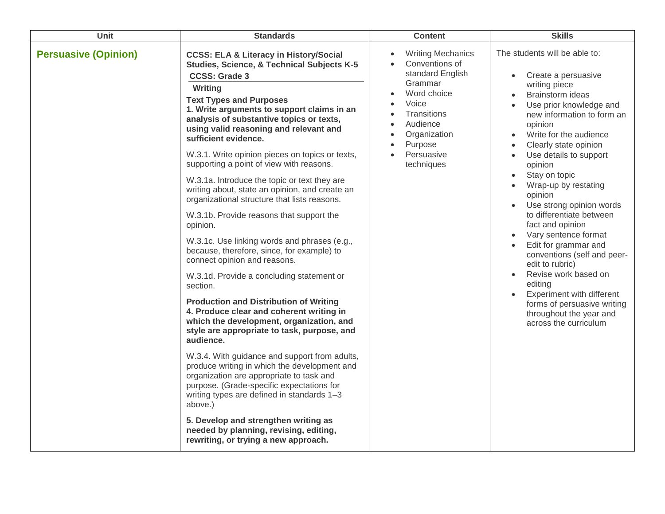| Unit                        | <b>Standards</b>                                                                                                                                                                                                                                                                                                                                                                                                                                                                                                                                                                                                                                                                                                                                                                                                                                                                                                                                                                                                                                                                                                                                                                                                                                                                                                                                                                                                   | <b>Content</b>                                                                                                                                                                                                                                                                        | <b>Skills</b>                                                                                                                                                                                                                                                                                                                                                                                                                                                                                                                                                                                                                                                                                                                                                                             |
|-----------------------------|--------------------------------------------------------------------------------------------------------------------------------------------------------------------------------------------------------------------------------------------------------------------------------------------------------------------------------------------------------------------------------------------------------------------------------------------------------------------------------------------------------------------------------------------------------------------------------------------------------------------------------------------------------------------------------------------------------------------------------------------------------------------------------------------------------------------------------------------------------------------------------------------------------------------------------------------------------------------------------------------------------------------------------------------------------------------------------------------------------------------------------------------------------------------------------------------------------------------------------------------------------------------------------------------------------------------------------------------------------------------------------------------------------------------|---------------------------------------------------------------------------------------------------------------------------------------------------------------------------------------------------------------------------------------------------------------------------------------|-------------------------------------------------------------------------------------------------------------------------------------------------------------------------------------------------------------------------------------------------------------------------------------------------------------------------------------------------------------------------------------------------------------------------------------------------------------------------------------------------------------------------------------------------------------------------------------------------------------------------------------------------------------------------------------------------------------------------------------------------------------------------------------------|
| <b>Persuasive (Opinion)</b> | <b>CCSS: ELA &amp; Literacy in History/Social</b><br>Studies, Science, & Technical Subjects K-5<br><b>CCSS: Grade 3</b><br>Writing<br><b>Text Types and Purposes</b><br>1. Write arguments to support claims in an<br>analysis of substantive topics or texts,<br>using valid reasoning and relevant and<br>sufficient evidence.<br>W.3.1. Write opinion pieces on topics or texts,<br>supporting a point of view with reasons.<br>W.3.1a. Introduce the topic or text they are<br>writing about, state an opinion, and create an<br>organizational structure that lists reasons.<br>W.3.1b. Provide reasons that support the<br>opinion.<br>W.3.1c. Use linking words and phrases (e.g.,<br>because, therefore, since, for example) to<br>connect opinion and reasons.<br>W.3.1d. Provide a concluding statement or<br>section.<br><b>Production and Distribution of Writing</b><br>4. Produce clear and coherent writing in<br>which the development, organization, and<br>style are appropriate to task, purpose, and<br>audience.<br>W.3.4. With guidance and support from adults,<br>produce writing in which the development and<br>organization are appropriate to task and<br>purpose. (Grade-specific expectations for<br>writing types are defined in standards 1-3<br>above.)<br>5. Develop and strengthen writing as<br>needed by planning, revising, editing,<br>rewriting, or trying a new approach. | <b>Writing Mechanics</b><br>$\bullet$<br>Conventions of<br>$\bullet$<br>standard English<br>Grammar<br>Word choice<br>Voice<br>$\bullet$<br><b>Transitions</b><br>$\bullet$<br>Audience<br>Organization<br>$\bullet$<br>Purpose<br>$\bullet$<br>Persuasive<br>$\bullet$<br>techniques | The students will be able to:<br>Create a persuasive<br>$\bullet$<br>writing piece<br>Brainstorm ideas<br>$\bullet$<br>Use prior knowledge and<br>$\bullet$<br>new information to form an<br>opinion<br>Write for the audience<br>$\bullet$<br>Clearly state opinion<br>$\bullet$<br>Use details to support<br>$\bullet$<br>opinion<br>Stay on topic<br>$\bullet$<br>Wrap-up by restating<br>opinion<br>Use strong opinion words<br>to differentiate between<br>fact and opinion<br>Vary sentence format<br>$\bullet$<br>Edit for grammar and<br>$\bullet$<br>conventions (self and peer-<br>edit to rubric)<br>Revise work based on<br>$\bullet$<br>editing<br>Experiment with different<br>$\bullet$<br>forms of persuasive writing<br>throughout the year and<br>across the curriculum |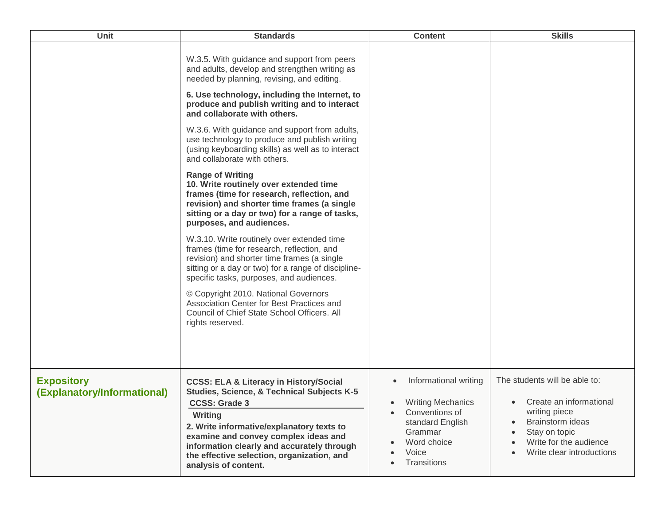| Unit                                             | <b>Standards</b>                                                                                                                                                                                                                                                                                                                                                                                                                                                                                                                                                                                                                                                                                                                                                                                                                                                                                                                                                                                                                                                                                                        | <b>Content</b>                                                                                                                                                      | <b>Skills</b>                                                                                                                                                         |
|--------------------------------------------------|-------------------------------------------------------------------------------------------------------------------------------------------------------------------------------------------------------------------------------------------------------------------------------------------------------------------------------------------------------------------------------------------------------------------------------------------------------------------------------------------------------------------------------------------------------------------------------------------------------------------------------------------------------------------------------------------------------------------------------------------------------------------------------------------------------------------------------------------------------------------------------------------------------------------------------------------------------------------------------------------------------------------------------------------------------------------------------------------------------------------------|---------------------------------------------------------------------------------------------------------------------------------------------------------------------|-----------------------------------------------------------------------------------------------------------------------------------------------------------------------|
|                                                  | W.3.5. With guidance and support from peers<br>and adults, develop and strengthen writing as<br>needed by planning, revising, and editing.<br>6. Use technology, including the Internet, to<br>produce and publish writing and to interact<br>and collaborate with others.<br>W.3.6. With guidance and support from adults,<br>use technology to produce and publish writing<br>(using keyboarding skills) as well as to interact<br>and collaborate with others.<br><b>Range of Writing</b><br>10. Write routinely over extended time<br>frames (time for research, reflection, and<br>revision) and shorter time frames (a single<br>sitting or a day or two) for a range of tasks,<br>purposes, and audiences.<br>W.3.10. Write routinely over extended time<br>frames (time for research, reflection, and<br>revision) and shorter time frames (a single<br>sitting or a day or two) for a range of discipline-<br>specific tasks, purposes, and audiences.<br>© Copyright 2010. National Governors<br>Association Center for Best Practices and<br>Council of Chief State School Officers. All<br>rights reserved. |                                                                                                                                                                     |                                                                                                                                                                       |
| <b>Expository</b><br>(Explanatory/Informational) | <b>CCSS: ELA &amp; Literacy in History/Social</b><br><b>Studies, Science, &amp; Technical Subjects K-5</b><br><b>CCSS: Grade 3</b><br>Writing<br>2. Write informative/explanatory texts to<br>examine and convey complex ideas and<br>information clearly and accurately through<br>the effective selection, organization, and<br>analysis of content.                                                                                                                                                                                                                                                                                                                                                                                                                                                                                                                                                                                                                                                                                                                                                                  | Informational writing<br>$\bullet$<br><b>Writing Mechanics</b><br>$\bullet$<br>Conventions of<br>standard English<br>Grammar<br>Word choice<br>Voice<br>Transitions | The students will be able to:<br>Create an informational<br>writing piece<br>Brainstorm ideas<br>Stay on topic<br>Write for the audience<br>Write clear introductions |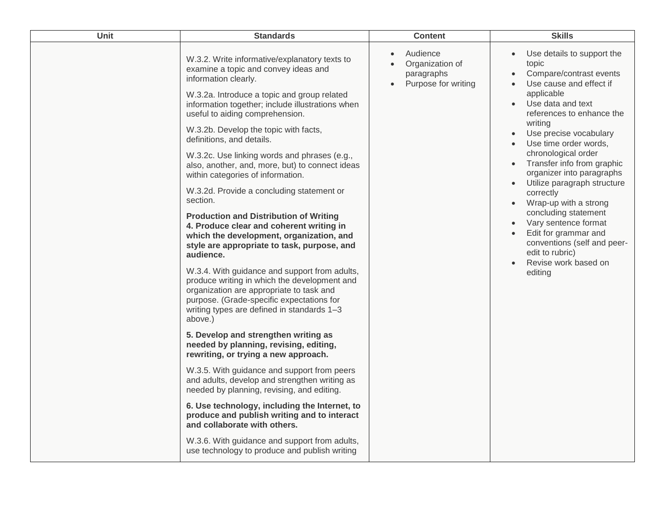| Audience<br>Use details to support the<br>W.3.2. Write informative/explanatory texts to<br>Organization of<br>topic<br>$\bullet$<br>examine a topic and convey ideas and<br>Compare/contrast events<br>paragraphs<br>information clearly.<br>Purpose for writing<br>Use cause and effect if<br>$\bullet$<br>applicable<br>W.3.2a. Introduce a topic and group related<br>Use data and text<br>information together; include illustrations when<br>$\bullet$<br>references to enhance the<br>useful to aiding comprehension.<br>writing<br>W.3.2b. Develop the topic with facts,<br>Use precise vocabulary<br>$\bullet$<br>definitions, and details.<br>Use time order words,<br>chronological order<br>W.3.2c. Use linking words and phrases (e.g.,<br>Transfer info from graphic<br>also, another, and, more, but) to connect ideas<br>organizer into paragraphs<br>within categories of information.<br>Utilize paragraph structure<br>W.3.2d. Provide a concluding statement or<br>correctly<br>section.<br>Wrap-up with a strong<br>$\bullet$<br>concluding statement<br><b>Production and Distribution of Writing</b><br>Vary sentence format<br>$\bullet$<br>4. Produce clear and coherent writing in<br>Edit for grammar and<br>which the development, organization, and<br>conventions (self and peer-<br>style are appropriate to task, purpose, and<br>edit to rubric)<br>audience.<br>Revise work based on<br>$\bullet$<br>W.3.4. With guidance and support from adults,<br>editing<br>produce writing in which the development and<br>organization are appropriate to task and<br>purpose. (Grade-specific expectations for<br>writing types are defined in standards 1-3<br>above.)<br>5. Develop and strengthen writing as<br>needed by planning, revising, editing,<br>rewriting, or trying a new approach.<br>W.3.5. With guidance and support from peers<br>and adults, develop and strengthen writing as<br>needed by planning, revising, and editing.<br>6. Use technology, including the Internet, to<br>produce and publish writing and to interact<br>and collaborate with others.<br>W.3.6. With guidance and support from adults,<br>use technology to produce and publish writing | Unit | <b>Standards</b> | <b>Content</b> | <b>Skills</b> |
|------------------------------------------------------------------------------------------------------------------------------------------------------------------------------------------------------------------------------------------------------------------------------------------------------------------------------------------------------------------------------------------------------------------------------------------------------------------------------------------------------------------------------------------------------------------------------------------------------------------------------------------------------------------------------------------------------------------------------------------------------------------------------------------------------------------------------------------------------------------------------------------------------------------------------------------------------------------------------------------------------------------------------------------------------------------------------------------------------------------------------------------------------------------------------------------------------------------------------------------------------------------------------------------------------------------------------------------------------------------------------------------------------------------------------------------------------------------------------------------------------------------------------------------------------------------------------------------------------------------------------------------------------------------------------------------------------------------------------------------------------------------------------------------------------------------------------------------------------------------------------------------------------------------------------------------------------------------------------------------------------------------------------------------------------------------------------------------------------------------------------------------------------------------------------------------------------------|------|------------------|----------------|---------------|
|                                                                                                                                                                                                                                                                                                                                                                                                                                                                                                                                                                                                                                                                                                                                                                                                                                                                                                                                                                                                                                                                                                                                                                                                                                                                                                                                                                                                                                                                                                                                                                                                                                                                                                                                                                                                                                                                                                                                                                                                                                                                                                                                                                                                            |      |                  |                |               |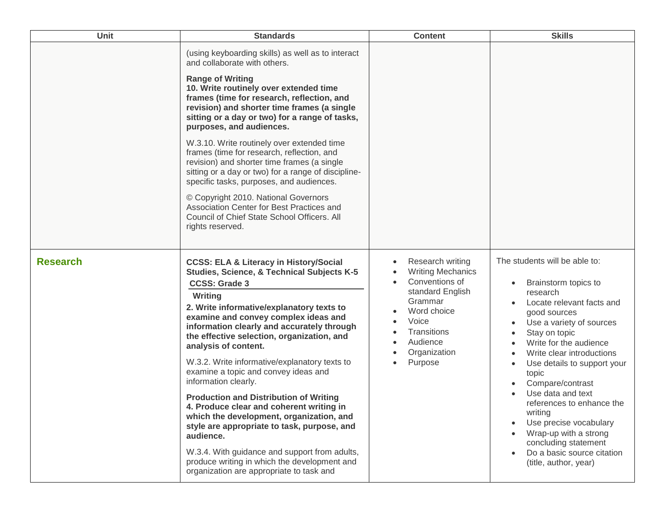| Unit            | <b>Standards</b>                                                                                                                                                                                                                                                                                                                                                                                                                                                                                                                                                                                                                                                                                                                                                                                                          | <b>Content</b>                                                                                                                                                                                        | <b>Skills</b>                                                                                                                                                                                                                                                                                                                                                                                                                                                                 |
|-----------------|---------------------------------------------------------------------------------------------------------------------------------------------------------------------------------------------------------------------------------------------------------------------------------------------------------------------------------------------------------------------------------------------------------------------------------------------------------------------------------------------------------------------------------------------------------------------------------------------------------------------------------------------------------------------------------------------------------------------------------------------------------------------------------------------------------------------------|-------------------------------------------------------------------------------------------------------------------------------------------------------------------------------------------------------|-------------------------------------------------------------------------------------------------------------------------------------------------------------------------------------------------------------------------------------------------------------------------------------------------------------------------------------------------------------------------------------------------------------------------------------------------------------------------------|
|                 | (using keyboarding skills) as well as to interact<br>and collaborate with others.<br><b>Range of Writing</b><br>10. Write routinely over extended time<br>frames (time for research, reflection, and<br>revision) and shorter time frames (a single<br>sitting or a day or two) for a range of tasks,<br>purposes, and audiences.<br>W.3.10. Write routinely over extended time<br>frames (time for research, reflection, and<br>revision) and shorter time frames (a single<br>sitting or a day or two) for a range of discipline-<br>specific tasks, purposes, and audiences.<br>© Copyright 2010. National Governors<br>Association Center for Best Practices and<br>Council of Chief State School Officers. All<br>rights reserved.                                                                                   |                                                                                                                                                                                                       |                                                                                                                                                                                                                                                                                                                                                                                                                                                                               |
| <b>Research</b> | <b>CCSS: ELA &amp; Literacy in History/Social</b><br><b>Studies, Science, &amp; Technical Subjects K-5</b><br><b>CCSS: Grade 3</b><br>Writing<br>2. Write informative/explanatory texts to<br>examine and convey complex ideas and<br>information clearly and accurately through<br>the effective selection, organization, and<br>analysis of content.<br>W.3.2. Write informative/explanatory texts to<br>examine a topic and convey ideas and<br>information clearly.<br><b>Production and Distribution of Writing</b><br>4. Produce clear and coherent writing in<br>which the development, organization, and<br>style are appropriate to task, purpose, and<br>audience.<br>W.3.4. With guidance and support from adults,<br>produce writing in which the development and<br>organization are appropriate to task and | Research writing<br>$\bullet$<br><b>Writing Mechanics</b><br>Conventions of<br>standard English<br>Grammar<br>Word choice<br>Voice<br>Transitions<br>Audience<br>Organization<br>Purpose<br>$\bullet$ | The students will be able to:<br>Brainstorm topics to<br>research<br>Locate relevant facts and<br>good sources<br>Use a variety of sources<br>Stay on topic<br>Write for the audience<br>Write clear introductions<br>Use details to support your<br>topic<br>Compare/contrast<br>Use data and text<br>references to enhance the<br>writing<br>Use precise vocabulary<br>Wrap-up with a strong<br>concluding statement<br>Do a basic source citation<br>(title, author, year) |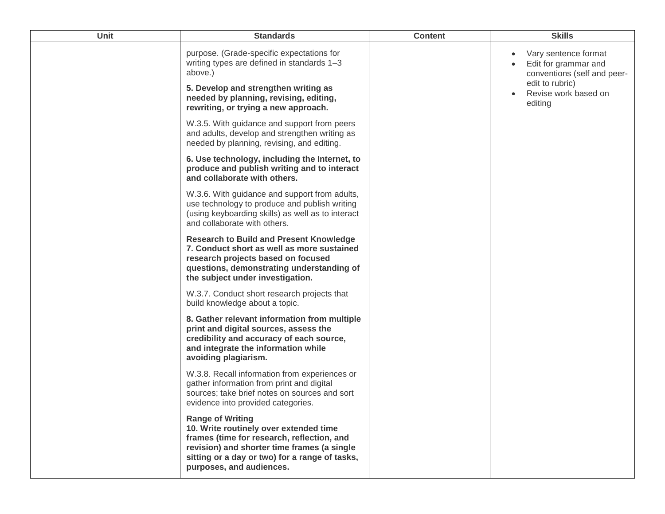| Unit | <b>Standards</b>                                                                                                                                                                                                                             | <b>Content</b> | <b>Skills</b>                                                                                                                     |
|------|----------------------------------------------------------------------------------------------------------------------------------------------------------------------------------------------------------------------------------------------|----------------|-----------------------------------------------------------------------------------------------------------------------------------|
|      | purpose. (Grade-specific expectations for<br>writing types are defined in standards 1-3<br>above.)<br>5. Develop and strengthen writing as<br>needed by planning, revising, editing,<br>rewriting, or trying a new approach.                 |                | Vary sentence format<br>Edit for grammar and<br>conventions (self and peer-<br>edit to rubric)<br>Revise work based on<br>editing |
|      | W.3.5. With guidance and support from peers<br>and adults, develop and strengthen writing as<br>needed by planning, revising, and editing.                                                                                                   |                |                                                                                                                                   |
|      | 6. Use technology, including the Internet, to<br>produce and publish writing and to interact<br>and collaborate with others.                                                                                                                 |                |                                                                                                                                   |
|      | W.3.6. With guidance and support from adults,<br>use technology to produce and publish writing<br>(using keyboarding skills) as well as to interact<br>and collaborate with others.                                                          |                |                                                                                                                                   |
|      | <b>Research to Build and Present Knowledge</b><br>7. Conduct short as well as more sustained<br>research projects based on focused<br>questions, demonstrating understanding of<br>the subject under investigation.                          |                |                                                                                                                                   |
|      | W.3.7. Conduct short research projects that<br>build knowledge about a topic.                                                                                                                                                                |                |                                                                                                                                   |
|      | 8. Gather relevant information from multiple<br>print and digital sources, assess the<br>credibility and accuracy of each source,<br>and integrate the information while<br>avoiding plagiarism.                                             |                |                                                                                                                                   |
|      | W.3.8. Recall information from experiences or<br>gather information from print and digital<br>sources; take brief notes on sources and sort<br>evidence into provided categories.                                                            |                |                                                                                                                                   |
|      | <b>Range of Writing</b><br>10. Write routinely over extended time<br>frames (time for research, reflection, and<br>revision) and shorter time frames (a single<br>sitting or a day or two) for a range of tasks,<br>purposes, and audiences. |                |                                                                                                                                   |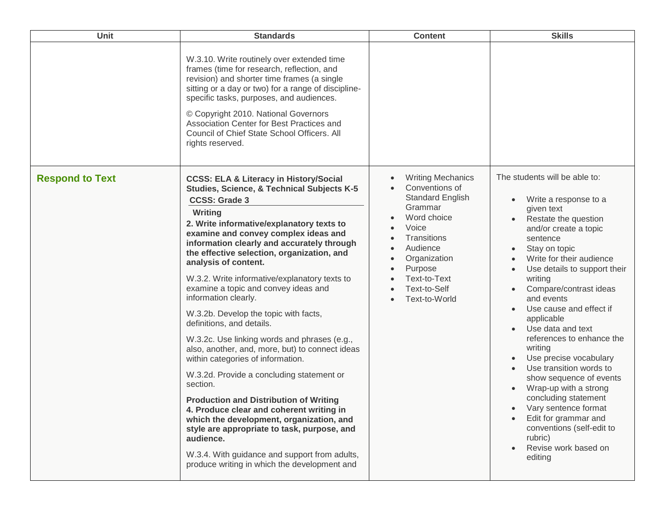| Unit                   | <b>Standards</b>                                                                                                                                                                                                                                                                                                                                                                                                                                                                                                                                                                                                                                                                                                                                                                                                                                                                                                                                                                                                                                     | <b>Content</b>                                                                                                                                                                                                               | <b>Skills</b>                                                                                                                                                                                                                                                                                                                                                                                                                                                                                                                                                                                                                       |
|------------------------|------------------------------------------------------------------------------------------------------------------------------------------------------------------------------------------------------------------------------------------------------------------------------------------------------------------------------------------------------------------------------------------------------------------------------------------------------------------------------------------------------------------------------------------------------------------------------------------------------------------------------------------------------------------------------------------------------------------------------------------------------------------------------------------------------------------------------------------------------------------------------------------------------------------------------------------------------------------------------------------------------------------------------------------------------|------------------------------------------------------------------------------------------------------------------------------------------------------------------------------------------------------------------------------|-------------------------------------------------------------------------------------------------------------------------------------------------------------------------------------------------------------------------------------------------------------------------------------------------------------------------------------------------------------------------------------------------------------------------------------------------------------------------------------------------------------------------------------------------------------------------------------------------------------------------------------|
|                        | W.3.10. Write routinely over extended time<br>frames (time for research, reflection, and<br>revision) and shorter time frames (a single<br>sitting or a day or two) for a range of discipline-<br>specific tasks, purposes, and audiences.<br>© Copyright 2010. National Governors<br>Association Center for Best Practices and<br>Council of Chief State School Officers. All<br>rights reserved.                                                                                                                                                                                                                                                                                                                                                                                                                                                                                                                                                                                                                                                   |                                                                                                                                                                                                                              |                                                                                                                                                                                                                                                                                                                                                                                                                                                                                                                                                                                                                                     |
| <b>Respond to Text</b> | <b>CCSS: ELA &amp; Literacy in History/Social</b><br><b>Studies, Science, &amp; Technical Subjects K-5</b><br><b>CCSS: Grade 3</b><br>Writing<br>2. Write informative/explanatory texts to<br>examine and convey complex ideas and<br>information clearly and accurately through<br>the effective selection, organization, and<br>analysis of content.<br>W.3.2. Write informative/explanatory texts to<br>examine a topic and convey ideas and<br>information clearly.<br>W.3.2b. Develop the topic with facts,<br>definitions, and details.<br>W.3.2c. Use linking words and phrases (e.g.,<br>also, another, and, more, but) to connect ideas<br>within categories of information.<br>W.3.2d. Provide a concluding statement or<br>section.<br><b>Production and Distribution of Writing</b><br>4. Produce clear and coherent writing in<br>which the development, organization, and<br>style are appropriate to task, purpose, and<br>audience.<br>W.3.4. With guidance and support from adults,<br>produce writing in which the development and | <b>Writing Mechanics</b><br>Conventions of<br><b>Standard English</b><br>Grammar<br>Word choice<br>Voice<br>Transitions<br>Audience<br>Organization<br>Purpose<br>Text-to-Text<br>Text-to-Self<br>Text-to-World<br>$\bullet$ | The students will be able to:<br>Write a response to a<br>given text<br>Restate the question<br>and/or create a topic<br>sentence<br>Stay on topic<br>Write for their audience<br>Use details to support their<br>writing<br>Compare/contrast ideas<br>and events<br>Use cause and effect if<br>applicable<br>Use data and text<br>references to enhance the<br>writing<br>Use precise vocabulary<br>Use transition words to<br>show sequence of events<br>Wrap-up with a strong<br>concluding statement<br>Vary sentence format<br>Edit for grammar and<br>conventions (self-edit to<br>rubric)<br>Revise work based on<br>editing |